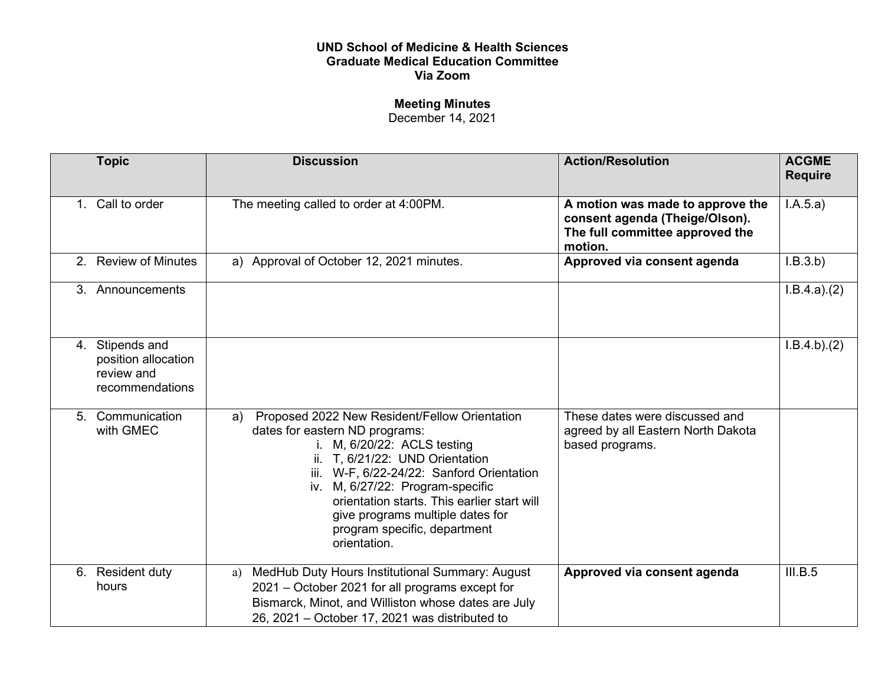## **UND School of Medicine & Health Sciences Graduate Medical Education Committee Via Zoom**

## **Meeting Minutes**

December 14, 2021

| <b>Topic</b>                                                            | <b>Discussion</b>                                                                                                                                                                                                                                                                                                                                                           | <b>Action/Resolution</b>                                                                                         | <b>ACGME</b><br><b>Require</b> |
|-------------------------------------------------------------------------|-----------------------------------------------------------------------------------------------------------------------------------------------------------------------------------------------------------------------------------------------------------------------------------------------------------------------------------------------------------------------------|------------------------------------------------------------------------------------------------------------------|--------------------------------|
| 1. Call to order                                                        | The meeting called to order at 4:00PM.                                                                                                                                                                                                                                                                                                                                      | A motion was made to approve the<br>consent agenda (Theige/Olson).<br>The full committee approved the<br>motion. | I.A.5.a)                       |
| 2. Review of Minutes                                                    | a) Approval of October 12, 2021 minutes.                                                                                                                                                                                                                                                                                                                                    | Approved via consent agenda                                                                                      | I.B.3.b)                       |
| 3. Announcements                                                        |                                                                                                                                                                                                                                                                                                                                                                             |                                                                                                                  | I.B.4.a)(2)                    |
| 4. Stipends and<br>position allocation<br>review and<br>recommendations |                                                                                                                                                                                                                                                                                                                                                                             |                                                                                                                  | I.B.4.b)(2)                    |
| 5. Communication<br>with GMEC                                           | Proposed 2022 New Resident/Fellow Orientation<br>a)<br>dates for eastern ND programs:<br>i. M, 6/20/22: ACLS testing<br>ii. T, 6/21/22: UND Orientation<br>iii. W-F, 6/22-24/22: Sanford Orientation<br>iv. M, 6/27/22: Program-specific<br>orientation starts. This earlier start will<br>give programs multiple dates for<br>program specific, department<br>orientation. | These dates were discussed and<br>agreed by all Eastern North Dakota<br>based programs.                          |                                |
| 6. Resident duty<br>hours                                               | MedHub Duty Hours Institutional Summary: August<br>a)<br>2021 – October 2021 for all programs except for<br>Bismarck, Minot, and Williston whose dates are July<br>26, 2021 – October 17, 2021 was distributed to                                                                                                                                                           | Approved via consent agenda                                                                                      | III.B.5                        |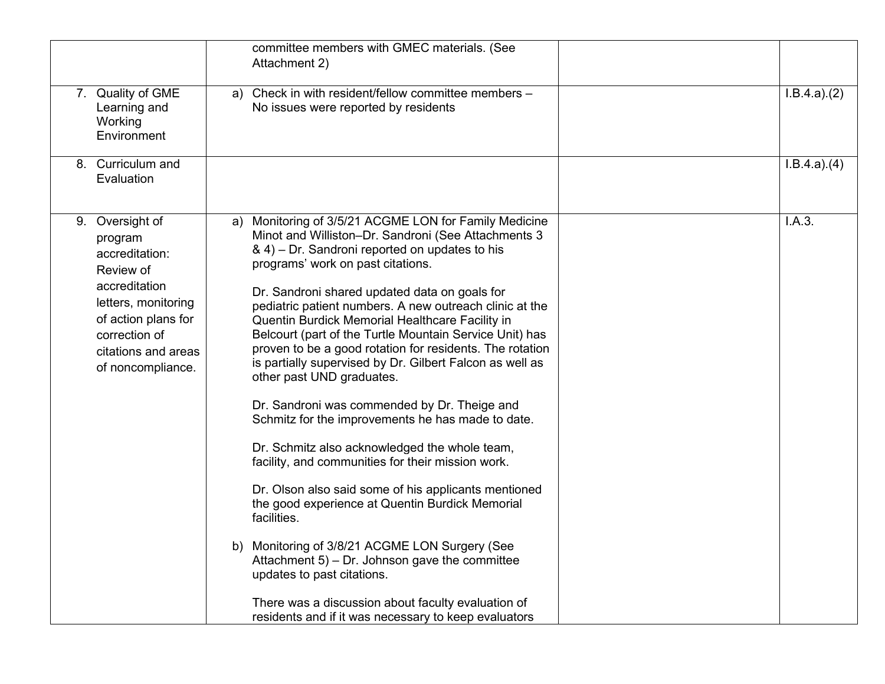|    |                                                                                                                                                                                    | committee members with GMEC materials. (See<br>Attachment 2)                                                                                                                                                                                                                                                                                                                                                                                                                                                                                                                                                                                                                                                                                                                                                                                                                                                                                                                                                                                                                                                                                                                  |             |
|----|------------------------------------------------------------------------------------------------------------------------------------------------------------------------------------|-------------------------------------------------------------------------------------------------------------------------------------------------------------------------------------------------------------------------------------------------------------------------------------------------------------------------------------------------------------------------------------------------------------------------------------------------------------------------------------------------------------------------------------------------------------------------------------------------------------------------------------------------------------------------------------------------------------------------------------------------------------------------------------------------------------------------------------------------------------------------------------------------------------------------------------------------------------------------------------------------------------------------------------------------------------------------------------------------------------------------------------------------------------------------------|-------------|
|    | 7. Quality of GME<br>Learning and<br>Working<br>Environment                                                                                                                        | Check in with resident/fellow committee members -<br>a)<br>No issues were reported by residents                                                                                                                                                                                                                                                                                                                                                                                                                                                                                                                                                                                                                                                                                                                                                                                                                                                                                                                                                                                                                                                                               | I.B.4.a)(2) |
|    | 8. Curriculum and<br>Evaluation                                                                                                                                                    |                                                                                                                                                                                                                                                                                                                                                                                                                                                                                                                                                                                                                                                                                                                                                                                                                                                                                                                                                                                                                                                                                                                                                                               | I.B.4.a)(4) |
| 9. | Oversight of<br>program<br>accreditation:<br>Review of<br>accreditation<br>letters, monitoring<br>of action plans for<br>correction of<br>citations and areas<br>of noncompliance. | Monitoring of 3/5/21 ACGME LON for Family Medicine<br>a)<br>Minot and Williston-Dr. Sandroni (See Attachments 3<br>& 4) – Dr. Sandroni reported on updates to his<br>programs' work on past citations.<br>Dr. Sandroni shared updated data on goals for<br>pediatric patient numbers. A new outreach clinic at the<br>Quentin Burdick Memorial Healthcare Facility in<br>Belcourt (part of the Turtle Mountain Service Unit) has<br>proven to be a good rotation for residents. The rotation<br>is partially supervised by Dr. Gilbert Falcon as well as<br>other past UND graduates.<br>Dr. Sandroni was commended by Dr. Theige and<br>Schmitz for the improvements he has made to date.<br>Dr. Schmitz also acknowledged the whole team,<br>facility, and communities for their mission work.<br>Dr. Olson also said some of his applicants mentioned<br>the good experience at Quentin Burdick Memorial<br>facilities.<br>b) Monitoring of 3/8/21 ACGME LON Surgery (See<br>Attachment $5$ ) – Dr. Johnson gave the committee<br>updates to past citations.<br>There was a discussion about faculty evaluation of<br>residents and if it was necessary to keep evaluators | I.A.3.      |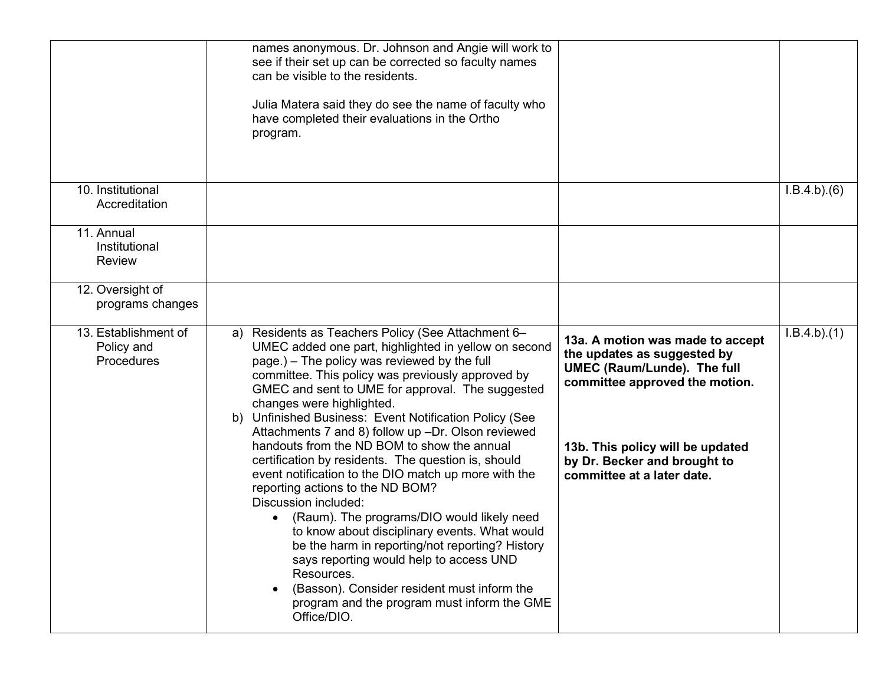|                                                  | names anonymous. Dr. Johnson and Angie will work to<br>see if their set up can be corrected so faculty names<br>can be visible to the residents.<br>Julia Matera said they do see the name of faculty who<br>have completed their evaluations in the Ortho<br>program.                                                                                                                                                                                                                                                                                                                                                                                                                                                                                                                                                                                                                                                                                                   |                                                                                                                                                                                                                                           |                          |
|--------------------------------------------------|--------------------------------------------------------------------------------------------------------------------------------------------------------------------------------------------------------------------------------------------------------------------------------------------------------------------------------------------------------------------------------------------------------------------------------------------------------------------------------------------------------------------------------------------------------------------------------------------------------------------------------------------------------------------------------------------------------------------------------------------------------------------------------------------------------------------------------------------------------------------------------------------------------------------------------------------------------------------------|-------------------------------------------------------------------------------------------------------------------------------------------------------------------------------------------------------------------------------------------|--------------------------|
| 10. Institutional<br>Accreditation               |                                                                                                                                                                                                                                                                                                                                                                                                                                                                                                                                                                                                                                                                                                                                                                                                                                                                                                                                                                          |                                                                                                                                                                                                                                           | I.B.4.b)(6)              |
| 11. Annual<br>Institutional<br>Review            |                                                                                                                                                                                                                                                                                                                                                                                                                                                                                                                                                                                                                                                                                                                                                                                                                                                                                                                                                                          |                                                                                                                                                                                                                                           |                          |
| 12. Oversight of<br>programs changes             |                                                                                                                                                                                                                                                                                                                                                                                                                                                                                                                                                                                                                                                                                                                                                                                                                                                                                                                                                                          |                                                                                                                                                                                                                                           |                          |
| 13. Establishment of<br>Policy and<br>Procedures | Residents as Teachers Policy (See Attachment 6-<br>a)<br>UMEC added one part, highlighted in yellow on second<br>page.) – The policy was reviewed by the full<br>committee. This policy was previously approved by<br>GMEC and sent to UME for approval. The suggested<br>changes were highlighted.<br>Unfinished Business: Event Notification Policy (See<br>b)<br>Attachments 7 and 8) follow up -Dr. Olson reviewed<br>handouts from the ND BOM to show the annual<br>certification by residents. The question is, should<br>event notification to the DIO match up more with the<br>reporting actions to the ND BOM?<br>Discussion included:<br>(Raum). The programs/DIO would likely need<br>to know about disciplinary events. What would<br>be the harm in reporting/not reporting? History<br>says reporting would help to access UND<br>Resources.<br>(Basson). Consider resident must inform the<br>program and the program must inform the GME<br>Office/DIO. | 13a. A motion was made to accept<br>the updates as suggested by<br><b>UMEC (Raum/Lunde). The full</b><br>committee approved the motion.<br>13b. This policy will be updated<br>by Dr. Becker and brought to<br>committee at a later date. | $\overline{I.B.4.b}.(1)$ |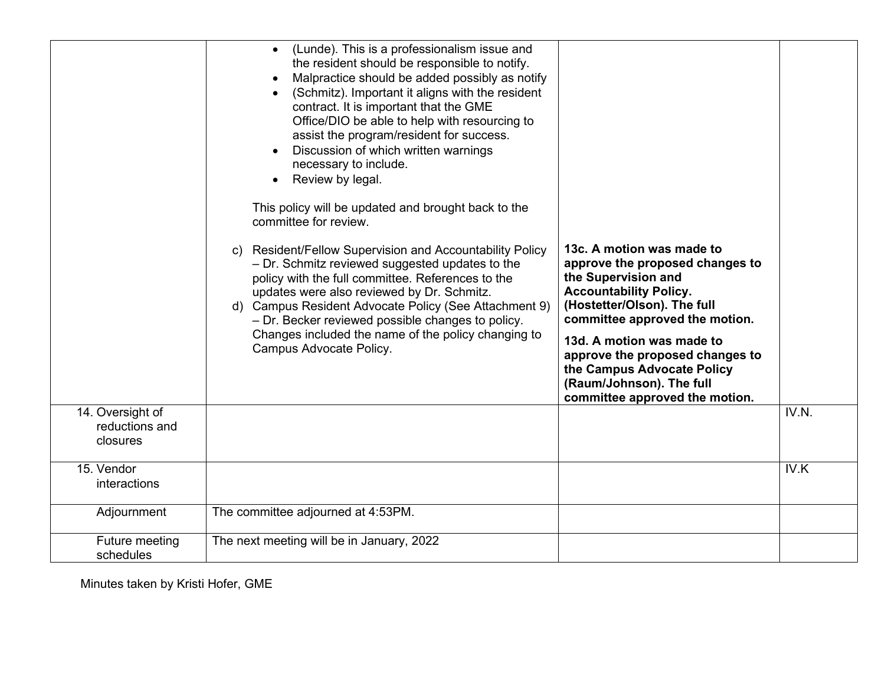|                                                | (Lunde). This is a professionalism issue and<br>$\bullet$<br>the resident should be responsible to notify.<br>Malpractice should be added possibly as notify<br>(Schmitz). Important it aligns with the resident<br>contract. It is important that the GME<br>Office/DIO be able to help with resourcing to<br>assist the program/resident for success.<br>Discussion of which written warnings<br>necessary to include.<br>Review by legal.<br>$\bullet$<br>This policy will be updated and brought back to the<br>committee for review. |                                                                                                                                                                                                                                                                                                                                                   |       |
|------------------------------------------------|-------------------------------------------------------------------------------------------------------------------------------------------------------------------------------------------------------------------------------------------------------------------------------------------------------------------------------------------------------------------------------------------------------------------------------------------------------------------------------------------------------------------------------------------|---------------------------------------------------------------------------------------------------------------------------------------------------------------------------------------------------------------------------------------------------------------------------------------------------------------------------------------------------|-------|
|                                                | c) Resident/Fellow Supervision and Accountability Policy<br>- Dr. Schmitz reviewed suggested updates to the<br>policy with the full committee. References to the<br>updates were also reviewed by Dr. Schmitz.<br>d) Campus Resident Advocate Policy (See Attachment 9)<br>- Dr. Becker reviewed possible changes to policy.<br>Changes included the name of the policy changing to<br>Campus Advocate Policy.                                                                                                                            | 13c. A motion was made to<br>approve the proposed changes to<br>the Supervision and<br><b>Accountability Policy.</b><br>(Hostetter/Olson). The full<br>committee approved the motion.<br>13d. A motion was made to<br>approve the proposed changes to<br>the Campus Advocate Policy<br>(Raum/Johnson). The full<br>committee approved the motion. |       |
| 14. Oversight of<br>reductions and<br>closures |                                                                                                                                                                                                                                                                                                                                                                                                                                                                                                                                           |                                                                                                                                                                                                                                                                                                                                                   | IV.N. |
| 15. Vendor<br>interactions                     |                                                                                                                                                                                                                                                                                                                                                                                                                                                                                                                                           |                                                                                                                                                                                                                                                                                                                                                   | IV.K  |
| Adjournment                                    | The committee adjourned at 4:53PM.                                                                                                                                                                                                                                                                                                                                                                                                                                                                                                        |                                                                                                                                                                                                                                                                                                                                                   |       |
| Future meeting<br>schedules                    | The next meeting will be in January, 2022                                                                                                                                                                                                                                                                                                                                                                                                                                                                                                 |                                                                                                                                                                                                                                                                                                                                                   |       |

Minutes taken by Kristi Hofer, GME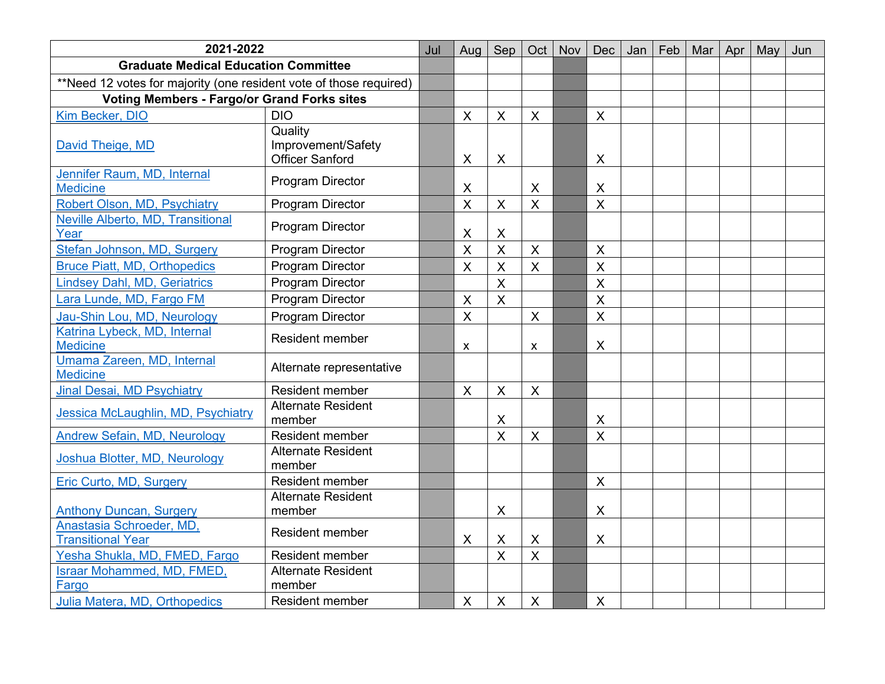| 2021-2022                                                          |                                                         | Jul | Aug                       | Sep                       | Oct                       | Nov | Dec                       | Jan | Feb | Mar | Apr | May | Jun |
|--------------------------------------------------------------------|---------------------------------------------------------|-----|---------------------------|---------------------------|---------------------------|-----|---------------------------|-----|-----|-----|-----|-----|-----|
| <b>Graduate Medical Education Committee</b>                        |                                                         |     |                           |                           |                           |     |                           |     |     |     |     |     |     |
| **Need 12 votes for majority (one resident vote of those required) |                                                         |     |                           |                           |                           |     |                           |     |     |     |     |     |     |
| <b>Voting Members - Fargo/or Grand Forks sites</b>                 |                                                         |     |                           |                           |                           |     |                           |     |     |     |     |     |     |
| Kim Becker, DIO                                                    | <b>DIO</b>                                              |     | X                         | X                         | X                         |     | X                         |     |     |     |     |     |     |
| David Theige, MD                                                   | Quality<br>Improvement/Safety<br><b>Officer Sanford</b> |     | X                         | $\boldsymbol{\mathsf{X}}$ |                           |     | $\boldsymbol{\mathsf{X}}$ |     |     |     |     |     |     |
| Jennifer Raum, MD, Internal<br><b>Medicine</b>                     | <b>Program Director</b>                                 |     | X                         |                           | X                         |     | X                         |     |     |     |     |     |     |
| Robert Olson, MD, Psychiatry                                       | <b>Program Director</b>                                 |     | $\overline{\mathsf{X}}$   | $\sf X$                   | $\boldsymbol{\mathsf{X}}$ |     | $\overline{\mathsf{X}}$   |     |     |     |     |     |     |
| Neville Alberto, MD, Transitional<br>Year                          | <b>Program Director</b>                                 |     | X                         | X                         |                           |     |                           |     |     |     |     |     |     |
| Stefan Johnson, MD, Surgery                                        | <b>Program Director</b>                                 |     | $\sf X$                   | $\overline{\mathsf{X}}$   | $\overline{\mathsf{X}}$   |     | $\mathsf{X}$              |     |     |     |     |     |     |
| <b>Bruce Piatt, MD, Orthopedics</b>                                | Program Director                                        |     | $\boldsymbol{\mathsf{X}}$ | $\sf X$                   | $\boldsymbol{\mathsf{X}}$ |     | $\mathsf{X}$              |     |     |     |     |     |     |
| Lindsey Dahl, MD, Geriatrics                                       | <b>Program Director</b>                                 |     |                           | $\overline{\mathsf{X}}$   |                           |     | $\overline{\mathsf{x}}$   |     |     |     |     |     |     |
| Lara Lunde, MD, Fargo FM                                           | Program Director                                        |     | $\pmb{\times}$            | $\overline{\mathsf{X}}$   |                           |     | $\overline{\mathsf{X}}$   |     |     |     |     |     |     |
| Jau-Shin Lou, MD, Neurology                                        | <b>Program Director</b>                                 |     | $\sf X$                   |                           | $\boldsymbol{\mathsf{X}}$ |     | $\overline{\mathsf{X}}$   |     |     |     |     |     |     |
| Katrina Lybeck, MD, Internal<br><b>Medicine</b>                    | <b>Resident member</b>                                  |     | $\pmb{\mathsf{X}}$        |                           | X                         |     | X                         |     |     |     |     |     |     |
| Umama Zareen, MD, Internal<br><b>Medicine</b>                      | Alternate representative                                |     |                           |                           |                           |     |                           |     |     |     |     |     |     |
| <b>Jinal Desai, MD Psychiatry</b>                                  | Resident member                                         |     | $\boldsymbol{\mathsf{X}}$ | $\sf X$                   | $\boldsymbol{\mathsf{X}}$ |     |                           |     |     |     |     |     |     |
| Jessica McLaughlin, MD, Psychiatry                                 | <b>Alternate Resident</b><br>member                     |     |                           | X                         |                           |     | X                         |     |     |     |     |     |     |
| <b>Andrew Sefain, MD, Neurology</b>                                | Resident member                                         |     |                           | $\overline{\mathsf{X}}$   | $\boldsymbol{\mathsf{X}}$ |     | $\overline{\mathsf{X}}$   |     |     |     |     |     |     |
| Joshua Blotter, MD, Neurology                                      | <b>Alternate Resident</b><br>member                     |     |                           |                           |                           |     |                           |     |     |     |     |     |     |
| Eric Curto, MD, Surgery                                            | Resident member                                         |     |                           |                           |                           |     | $\sf X$                   |     |     |     |     |     |     |
| <b>Anthony Duncan, Surgery</b>                                     | Alternate Resident<br>member                            |     |                           | X                         |                           |     | $\pmb{\times}$            |     |     |     |     |     |     |
| Anastasia Schroeder, MD,<br><b>Transitional Year</b>               | <b>Resident member</b>                                  |     | X                         | X                         | $\times$                  |     | $\mathsf{X}$              |     |     |     |     |     |     |
| Yesha Shukla, MD, FMED, Fargo                                      | Resident member                                         |     |                           | $\overline{\mathsf{X}}$   | $\overline{\mathsf{X}}$   |     |                           |     |     |     |     |     |     |
| <b>Israar Mohammed, MD, FMED,</b><br>Fargo                         | <b>Alternate Resident</b><br>member                     |     |                           |                           |                           |     |                           |     |     |     |     |     |     |
| Julia Matera, MD, Orthopedics                                      | <b>Resident member</b>                                  |     | $\boldsymbol{\mathsf{X}}$ | $\sf X$                   | $\boldsymbol{\mathsf{X}}$ |     | $\boldsymbol{\mathsf{X}}$ |     |     |     |     |     |     |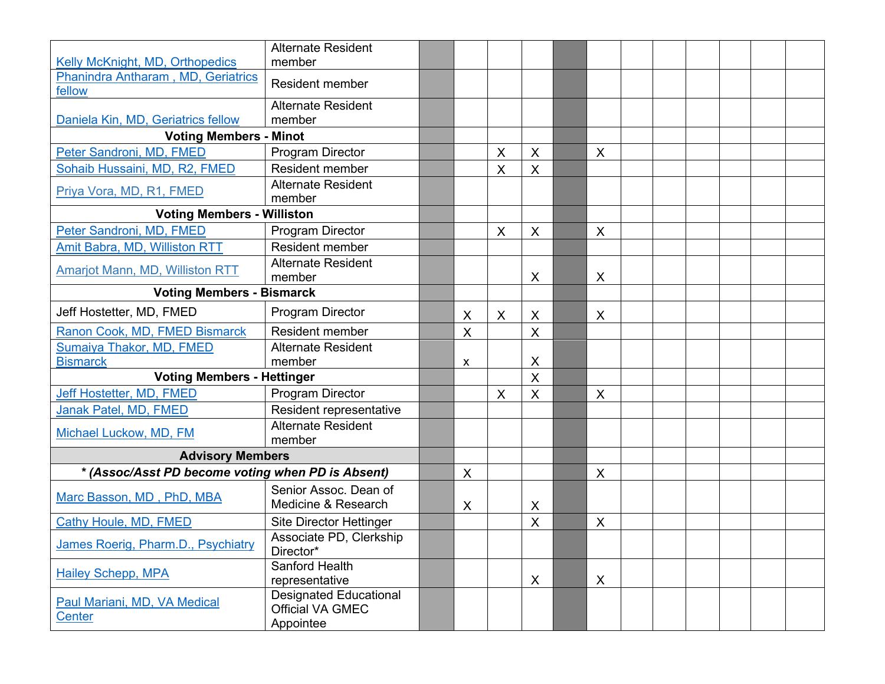|                                                   | <b>Alternate Resident</b>                                             |                           |   |         |                           |  |  |  |
|---------------------------------------------------|-----------------------------------------------------------------------|---------------------------|---|---------|---------------------------|--|--|--|
| Kelly McKnight, MD, Orthopedics                   | member                                                                |                           |   |         |                           |  |  |  |
| Phanindra Antharam, MD, Geriatrics<br>fellow      | <b>Resident member</b>                                                |                           |   |         |                           |  |  |  |
|                                                   | <b>Alternate Resident</b>                                             |                           |   |         |                           |  |  |  |
| Daniela Kin, MD, Geriatrics fellow                | member                                                                |                           |   |         |                           |  |  |  |
| <b>Voting Members - Minot</b>                     |                                                                       |                           |   |         |                           |  |  |  |
| Peter Sandroni, MD, FMED                          | <b>Program Director</b>                                               |                           | X | $\sf X$ | $\boldsymbol{\mathsf{X}}$ |  |  |  |
| Sohaib Hussaini, MD, R2, FMED                     | Resident member                                                       |                           | X | X       |                           |  |  |  |
| Priya Vora, MD, R1, FMED                          | <b>Alternate Resident</b><br>member                                   |                           |   |         |                           |  |  |  |
| <b>Voting Members - Williston</b>                 |                                                                       |                           |   |         |                           |  |  |  |
| Peter Sandroni, MD, FMED                          | <b>Program Director</b>                                               |                           | X | X       | X                         |  |  |  |
| Amit Babra, MD, Williston RTT                     | <b>Resident member</b>                                                |                           |   |         |                           |  |  |  |
| <b>Amarjot Mann, MD, Williston RTT</b>            | <b>Alternate Resident</b><br>member                                   |                           |   | X       | X                         |  |  |  |
| <b>Voting Members - Bismarck</b>                  |                                                                       |                           |   |         |                           |  |  |  |
| Jeff Hostetter, MD, FMED                          | <b>Program Director</b>                                               | X                         | X | X       | X                         |  |  |  |
| Ranon Cook, MD, FMED Bismarck                     | <b>Resident member</b>                                                | $\boldsymbol{\mathsf{X}}$ |   | X       |                           |  |  |  |
| Sumaiya Thakor, MD, FMED                          | <b>Alternate Resident</b>                                             |                           |   |         |                           |  |  |  |
| <b>Bismarck</b>                                   | member                                                                | X                         |   | X       |                           |  |  |  |
| <b>Voting Members - Hettinger</b>                 |                                                                       |                           |   | X       |                           |  |  |  |
| Jeff Hostetter, MD, FMED                          | <b>Program Director</b>                                               |                           | X | $\sf X$ | X                         |  |  |  |
| Janak Patel, MD, FMED                             | Resident representative                                               |                           |   |         |                           |  |  |  |
| Michael Luckow, MD, FM                            | <b>Alternate Resident</b><br>member                                   |                           |   |         |                           |  |  |  |
| <b>Advisory Members</b>                           |                                                                       |                           |   |         |                           |  |  |  |
| * (Assoc/Asst PD become voting when PD is Absent) |                                                                       | $\boldsymbol{\mathsf{X}}$ |   |         | X                         |  |  |  |
| Marc Basson, MD, PhD, MBA                         | Senior Assoc. Dean of<br>Medicine & Research                          | X                         |   | X       |                           |  |  |  |
| Cathy Houle, MD, FMED                             | <b>Site Director Hettinger</b>                                        |                           |   | $\sf X$ | X                         |  |  |  |
| James Roerig, Pharm.D., Psychiatry                | Associate PD, Clerkship<br>Director*                                  |                           |   |         |                           |  |  |  |
| <b>Hailey Schepp, MPA</b>                         | Sanford Health<br>representative                                      |                           |   | X       | X                         |  |  |  |
| Paul Mariani, MD, VA Medical<br>Center            | <b>Designated Educational</b><br><b>Official VA GMEC</b><br>Appointee |                           |   |         |                           |  |  |  |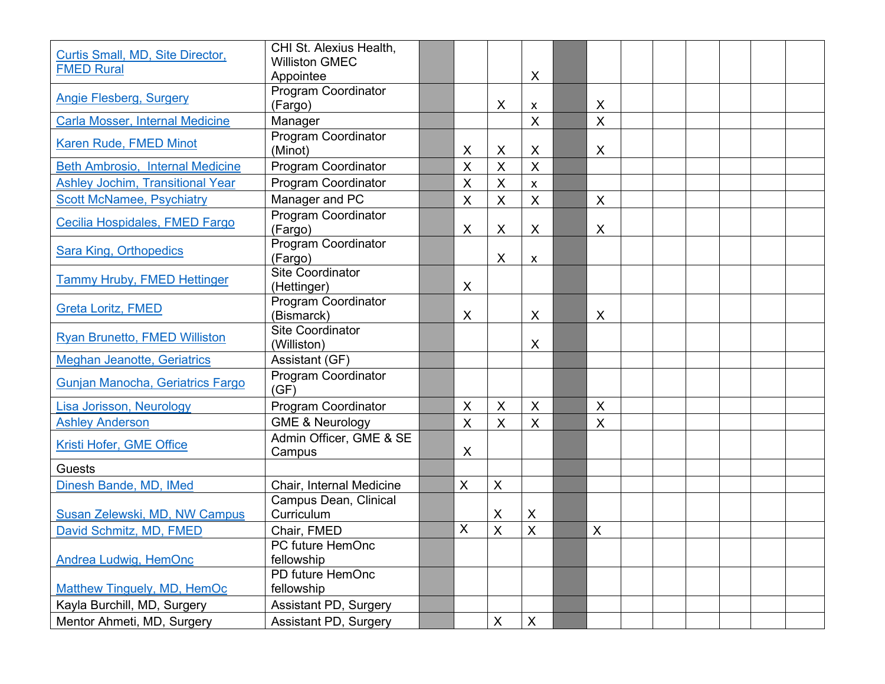| Curtis Small, MD, Site Director,<br><b>FMED Rural</b> | CHI St. Alexius Health,<br><b>Williston GMEC</b> |                    |                         |                           |                           |  |  |  |
|-------------------------------------------------------|--------------------------------------------------|--------------------|-------------------------|---------------------------|---------------------------|--|--|--|
|                                                       | Appointee                                        |                    |                         | $\times$                  |                           |  |  |  |
| <b>Angie Flesberg, Surgery</b>                        | <b>Program Coordinator</b><br>(Fargo)            |                    | X                       | X                         | X                         |  |  |  |
| <b>Carla Mosser, Internal Medicine</b>                | Manager                                          |                    |                         | $\times$                  | $\mathsf{X}$              |  |  |  |
| Karen Rude, FMED Minot                                | <b>Program Coordinator</b><br>(Minot)            | X                  | X                       | $\times$                  | X                         |  |  |  |
| <b>Beth Ambrosio, Internal Medicine</b>               | <b>Program Coordinator</b>                       | $\sf X$            | $\overline{\mathsf{X}}$ | $\overline{\mathsf{X}}$   |                           |  |  |  |
| <b>Ashley Jochim, Transitional Year</b>               | <b>Program Coordinator</b>                       | $\pmb{\times}$     | X                       | X                         |                           |  |  |  |
| <b>Scott McNamee, Psychiatry</b>                      | Manager and PC                                   | $\pmb{\mathsf{X}}$ | X                       | $\times$                  | X                         |  |  |  |
| Cecilia Hospidales, FMED Fargo                        | Program Coordinator<br>(Fargo)                   | X                  | $\times$                | $\sf X$                   | X                         |  |  |  |
| <b>Sara King, Orthopedics</b>                         | <b>Program Coordinator</b><br>(Fargo)            |                    | X                       | X                         |                           |  |  |  |
| Tammy Hruby, FMED Hettinger                           | <b>Site Coordinator</b><br>(Hettinger)           | X                  |                         |                           |                           |  |  |  |
| <b>Greta Loritz, FMED</b>                             | Program Coordinator<br>(Bismarck)                | X                  |                         | $\times$                  | X                         |  |  |  |
| <b>Ryan Brunetto, FMED Williston</b>                  | <b>Site Coordinator</b><br>(Williston)           |                    |                         | $\times$                  |                           |  |  |  |
| <b>Meghan Jeanotte, Geriatrics</b>                    | Assistant (GF)                                   |                    |                         |                           |                           |  |  |  |
| Gunjan Manocha, Geriatrics Fargo                      | Program Coordinator<br>(GF)                      |                    |                         |                           |                           |  |  |  |
| Lisa Jorisson, Neurology                              | <b>Program Coordinator</b>                       | X                  | X                       | $\boldsymbol{\mathsf{X}}$ | X                         |  |  |  |
| <b>Ashley Anderson</b>                                | <b>GME &amp; Neurology</b>                       | $\pmb{\mathsf{X}}$ | X                       | $\times$                  | $\mathsf{X}$              |  |  |  |
| Kristi Hofer, GME Office                              | Admin Officer, GME & SE<br>Campus                | X                  |                         |                           |                           |  |  |  |
| <b>Guests</b>                                         |                                                  |                    |                         |                           |                           |  |  |  |
| Dinesh Bande, MD, IMed                                | Chair, Internal Medicine                         | $\mathsf X$        | $\pmb{\times}$          |                           |                           |  |  |  |
| Susan Zelewski, MD, NW Campus                         | Campus Dean, Clinical<br>Curriculum              |                    | X                       | $\times$                  |                           |  |  |  |
| David Schmitz, MD, FMED                               | Chair, FMED                                      | $\pmb{\times}$     | $\overline{\mathsf{X}}$ | $\overline{\mathsf{X}}$   | $\boldsymbol{\mathsf{X}}$ |  |  |  |
| Andrea Ludwig, HemOnc                                 | PC future HemOnc<br>fellowship                   |                    |                         |                           |                           |  |  |  |
| Matthew Tinguely, MD, HemOc                           | PD future HemOnc<br>fellowship                   |                    |                         |                           |                           |  |  |  |
| Kayla Burchill, MD, Surgery                           | Assistant PD, Surgery                            |                    |                         |                           |                           |  |  |  |
| Mentor Ahmeti, MD, Surgery                            | Assistant PD, Surgery                            |                    | $\mathsf X$             | $\pmb{\times}$            |                           |  |  |  |